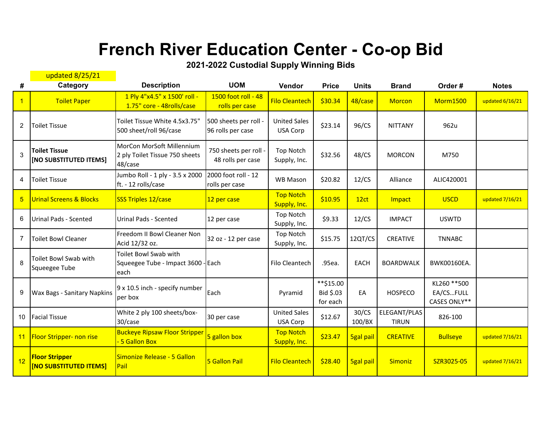## **French River Education Center - Co-op Bid**

**2021-2022 Custodial Supply Winning Bids**

|                | updated 8/25/21                                        |                                                                        |                                            |                                  |                                    |                  |                              |                                           |                 |
|----------------|--------------------------------------------------------|------------------------------------------------------------------------|--------------------------------------------|----------------------------------|------------------------------------|------------------|------------------------------|-------------------------------------------|-----------------|
| #              | Category                                               | <b>Description</b>                                                     | <b>UOM</b>                                 | Vendor                           | <b>Price</b>                       | <b>Units</b>     | <b>Brand</b>                 | Order#                                    | <b>Notes</b>    |
| $\mathbf{1}$   | <b>Toilet Paper</b>                                    | 1 Ply 4"x4.5" x 1500' roll -<br>1.75" core - 48rolls/case              | 1500 foot roll - 48<br>rolls per case      | <b>Filo Cleantech</b>            | \$30.34                            | 48/case          | <b>Morcon</b>                | <b>Morm1500</b>                           | updated 6/16/21 |
| 2              | <b>Toilet Tissue</b>                                   | Toilet Tissue White 4.5x3.75"<br>500 sheet/roll 96/case                | 500 sheets per roll -<br>96 rolls per case | <b>United Sales</b><br>USA Corp  | \$23.14                            | 96/CS            | <b>NITTANY</b>               | 962u                                      |                 |
| 3              | <b>Toilet Tissue</b><br>[NO SUBSTITUTED ITEMS]         | MorCon MorSoft Millennium<br>2 ply Toilet Tissue 750 sheets<br>48/case | 750 sheets per roll -<br>48 rolls per case | <b>Top Notch</b><br>Supply, Inc. | \$32.56                            | 48/CS            | <b>MORCON</b>                | M750                                      |                 |
| 4              | <b>Toilet Tissue</b>                                   | Jumbo Roll - 1 ply - 3.5 x 2000<br>ft. - 12 rolls/case                 | 2000 foot roll - 12<br>rolls per case      | <b>WB Mason</b>                  | \$20.82                            | 12/CS            | Alliance                     | ALIC420001                                |                 |
| 5 <sub>5</sub> | <b>Urinal Screens &amp; Blocks</b>                     | SSS Triples 12/case                                                    | 12 per case                                | <b>Top Notch</b><br>Supply, Inc. | \$10.95                            | 12ct             | Impact                       | <b>USCD</b>                               | updated 7/16/21 |
| 6              | <b>Urinal Pads - Scented</b>                           | <b>Urinal Pads - Scented</b>                                           | 12 per case                                | Top Notch<br>Supply, Inc.        | \$9.33                             | 12/CS            | <b>IMPACT</b>                | <b>USWTD</b>                              |                 |
| 7              | <b>Toilet Bowl Cleaner</b>                             | Freedom II Bowl Cleaner Non<br>Acid 12/32 oz.                          | 32 oz - 12 per case                        | <b>Top Notch</b><br>Supply, Inc. | \$15.75                            | 12QT/CS          | CREATIVE                     | <b>TNNABC</b>                             |                 |
| 8              | Toilet Bowl Swab with<br>Squeegee Tube                 | Toilet Bowl Swab with<br>Squeegee Tube - Impact 3600 - Each<br>each    |                                            | Filo Cleantech                   | .95ea.                             | <b>EACH</b>      | <b>BOARDWALK</b>             | BWK00160EA.                               |                 |
| 9              | Wax Bags - Sanitary Napkins                            | 9 x 10.5 inch - specify number<br>per box                              | Each                                       | Pyramid                          | **\$15.00<br>Bid \$.03<br>for each | EA               | <b>HOSPECO</b>               | KL260 ** 500<br>EA/CSFULL<br>CASES ONLY** |                 |
| 10             | <b>Facial Tissue</b>                                   | White 2 ply 100 sheets/box-<br>30/case                                 | 30 per case                                | <b>United Sales</b><br>USA Corp  | \$12.67                            | 30/CS<br>100/BX  | ELEGANT/PLAS<br><b>TIRUN</b> | 826-100                                   |                 |
| 11             | <b>Floor Stripper- non rise</b>                        | <b>Buckeye Ripsaw Floor Stripper</b><br>- 5 Gallon Box                 | 5 gallon box                               | <b>Top Notch</b><br>Supply, Inc. | \$23.47                            | <b>5gal pail</b> | <b>CREATIVE</b>              | <b>Bullseye</b>                           | updated 7/16/21 |
| 12             | <b>Floor Stripper</b><br><b>[NO SUBSTITUTED ITEMS]</b> | Simonize Release - 5 Gallon<br>Pail                                    | <b>5 Gallon Pail</b>                       | <b>Filo Cleantech</b>            | \$28.40                            | <b>5gal pail</b> | <b>Simoniz</b>               | SZR3025-05                                | updated 7/16/21 |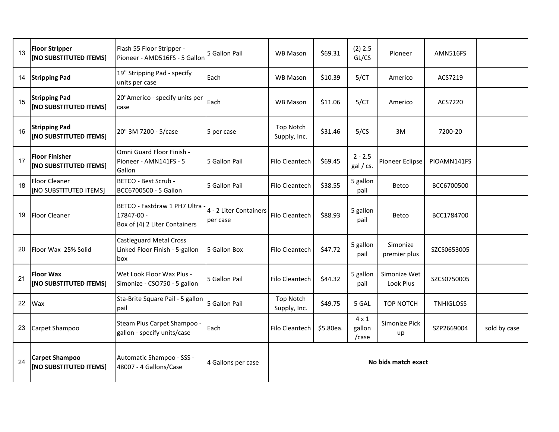| 13 | <b>Floor Stripper</b><br>[NO SUBSTITUTED ITEMS] | Flash 55 Floor Stripper -<br>Pioneer - AMD516FS - 5 Gallon                  | 5 Gallon Pail                      | WB Mason                         | \$69.31   | $(2)$ 2.5<br>GL/CS              | Pioneer                   | AMN516FS         |              |
|----|-------------------------------------------------|-----------------------------------------------------------------------------|------------------------------------|----------------------------------|-----------|---------------------------------|---------------------------|------------------|--------------|
| 14 | <b>Stripping Pad</b>                            | 19" Stripping Pad - specify<br>units per case                               | Each                               | <b>WB Mason</b>                  | \$10.39   | 5/CT                            | Americo                   | ACS7219          |              |
| 15 | <b>Stripping Pad</b><br>[NO SUBSTITUTED ITEMS]  | 20"Americo - specify units per<br>case                                      | Each                               | <b>WB Mason</b>                  | \$11.06   | 5/CT                            | Americo                   | ACS7220          |              |
| 16 | <b>Stripping Pad</b><br>[NO SUBSTITUTED ITEMS]  | 20" 3M 7200 - 5/case                                                        | 5 per case                         | <b>Top Notch</b><br>Supply, Inc. | \$31.46   | 5/CS                            | 3M                        | 7200-20          |              |
| 17 | <b>Floor Finisher</b><br>[NO SUBSTITUTED ITEMS] | Omni Guard Floor Finish -<br>Pioneer - AMN141FS - 5<br>Gallon               | 5 Gallon Pail                      | Filo Cleantech                   | \$69.45   | $2 - 2.5$<br>gal / cs.          | Pioneer Eclipse           | PIOAMN141FS      |              |
| 18 | Floor Cleaner<br>[NO SUBSTITUTED ITEMS]         | BETCO - Best Scrub -<br>BCC6700500 - 5 Gallon                               | 5 Gallon Pail                      | Filo Cleantech                   | \$38.55   | 5 gallon<br>pail                | Betco                     | BCC6700500       |              |
| 19 | <b>Floor Cleaner</b>                            | BETCO - Fastdraw 1 PH7 Ultra<br>17847-00 -<br>Box of (4) 2 Liter Containers | 4 - 2 Liter Containers<br>per case | Filo Cleantech                   | \$88.93   | 5 gallon<br>pail                | Betco                     | BCC1784700       |              |
| 20 | Floor Wax 25% Solid                             | <b>Castleguard Metal Cross</b><br>Linked Floor Finish - 5-gallon<br>box     | 5 Gallon Box                       | Filo Cleantech                   | \$47.72   | 5 gallon<br>pail                | Simonize<br>premier plus  | SZCS0653005      |              |
| 21 | <b>Floor Wax</b><br>[NO SUBSTITUTED ITEMS]      | Wet Look Floor Wax Plus -<br>Simonize - CSO750 - 5 gallon                   | 5 Gallon Pail                      | Filo Cleantech                   | \$44.32   | 5 gallon<br>pail                | Simonize Wet<br>Look Plus | SZCS0750005      |              |
| 22 | Wax                                             | Sta-Brite Square Pail - 5 gallon<br>pail                                    | 5 Gallon Pail                      | Top Notch<br>Supply, Inc.        | \$49.75   | 5 GAL                           | <b>TOP NOTCH</b>          | <b>TNHIGLOSS</b> |              |
| 23 | Carpet Shampoo                                  | Steam Plus Carpet Shampoo -<br>gallon - specify units/case                  | Each                               | Filo Cleantech                   | \$5.80ea. | $4 \times 1$<br>gallon<br>/case | Simonize Pick<br>up       | SZP2669004       | sold by case |
| 24 | <b>Carpet Shampoo</b><br>[NO SUBSTITUTED ITEMS] | Automatic Shampoo - SSS -<br>48007 - 4 Gallons/Case                         | 4 Gallons per case                 | No bids match exact              |           |                                 |                           |                  |              |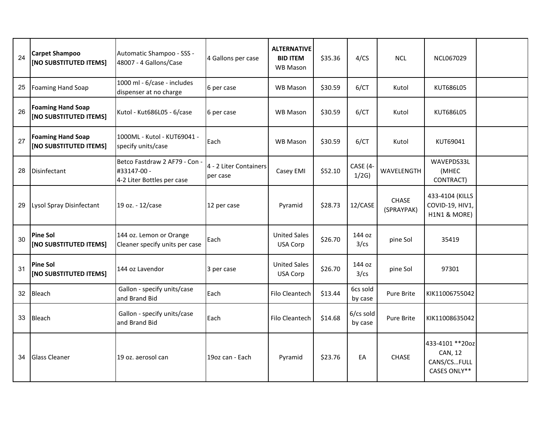| 24 | <b>Carpet Shampoo</b><br>[NO SUBSTITUTED ITEMS]    | Automatic Shampoo - SSS -<br>48007 - 4 Gallons/Case                      | 4 Gallons per case                 | <b>ALTERNATIVE</b><br><b>BID ITEM</b><br><b>WB Mason</b> | \$35.36 | 4/CS                 | <b>NCL</b>          | NCL067029                                                         |  |
|----|----------------------------------------------------|--------------------------------------------------------------------------|------------------------------------|----------------------------------------------------------|---------|----------------------|---------------------|-------------------------------------------------------------------|--|
| 25 | <b>Foaming Hand Soap</b>                           | 1000 ml - 6/case - includes<br>dispenser at no charge                    | 6 per case                         | <b>WB Mason</b>                                          | \$30.59 | 6/CT                 | Kutol               | KUT686L05                                                         |  |
| 26 | <b>Foaming Hand Soap</b><br>[NO SUBSTITUTED ITEMS] | Kutol - Kut686L05 - 6/case                                               | 6 per case                         | <b>WB Mason</b>                                          | \$30.59 | 6/CT                 | Kutol               | KUT686L05                                                         |  |
| 27 | <b>Foaming Hand Soap</b><br>[NO SUBSTITUTED ITEMS] | 1000ML - Kutol - KUT69041 -<br>specify units/case                        | Each                               | <b>WB Mason</b>                                          | \$30.59 | 6/CT                 | Kutol               | KUT69041                                                          |  |
| 28 | Disinfectant                                       | Betco Fastdraw 2 AF79 - Con<br>#33147-00 -<br>4-2 Liter Bottles per case | 4 - 2 Liter Containers<br>per case | Casey EMI                                                | \$52.10 | CASE (4<br>1/2G      | WAVELENGTH          | WAVEPDS33L<br>(MHEC<br>CONTRACT)                                  |  |
| 29 | Lysol Spray Disinfectant                           | 19 oz. - 12/case                                                         | 12 per case                        | Pyramid                                                  | \$28.73 | 12/CASE              | CHASE<br>(SPRAYPAK) | 433-4104 (KILLS<br>COVID-19, HIV1,<br>H1N1 & MORE)                |  |
| 30 | <b>Pine Sol</b><br>[NO SUBSTITUTED ITEMS]          | 144 oz. Lemon or Orange<br>Cleaner specify units per case                | Each                               | <b>United Sales</b><br>USA Corp                          | \$26.70 | 144 oz<br>3/cs       | pine Sol            | 35419                                                             |  |
| 31 | <b>Pine Sol</b><br>[NO SUBSTITUTED ITEMS]          | 144 oz Lavendor                                                          | 3 per case                         | <b>United Sales</b><br>USA Corp                          | \$26.70 | 144 oz<br>3/cs       | pine Sol            | 97301                                                             |  |
| 32 | Bleach                                             | Gallon - specify units/case<br>and Brand Bid                             | Each                               | Filo Cleantech                                           | \$13.44 | 6cs sold<br>by case  | Pure Brite          | KIK11006755042                                                    |  |
| 33 | Bleach                                             | Gallon - specify units/case<br>and Brand Bid                             | Each                               | Filo Cleantech                                           | \$14.68 | 6/cs sold<br>by case | Pure Brite          | KIK11008635042                                                    |  |
| 34 | <b>Glass Cleaner</b>                               | 19 oz. aerosol can                                                       | 19oz can - Each                    | Pyramid                                                  | \$23.76 | EA                   | <b>CHASE</b>        | 433-4101 ** 20oz<br><b>CAN, 12</b><br>CANS/CSFULL<br>CASES ONLY** |  |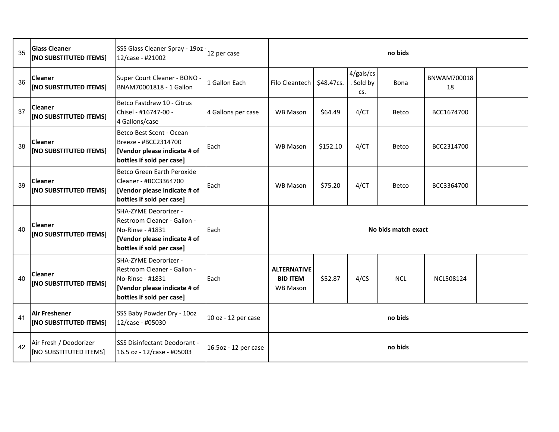| 35 | <b>Glass Cleaner</b><br>[NO SUBSTITUTED ITEMS]   | SSS Glass Cleaner Spray - 19oz<br>12/case - #21002                                                                                    | 12 per case          | no bids                                                  |            |                             |            |                   |  |
|----|--------------------------------------------------|---------------------------------------------------------------------------------------------------------------------------------------|----------------------|----------------------------------------------------------|------------|-----------------------------|------------|-------------------|--|
| 36 | <b>Cleaner</b><br>[NO SUBSTITUTED ITEMS]         | Super Court Cleaner - BONO -<br>BNAM70001818 - 1 Gallon                                                                               | 1 Gallon Each        | Filo Cleantech                                           | \$48.47cs. | 4/gals/cs<br>Sold by<br>CS. | Bona       | BNWAM700018<br>18 |  |
| 37 | <b>Cleaner</b><br>[NO SUBSTITUTED ITEMS]         | Betco Fastdraw 10 - Citrus<br>Chisel - #16747-00 -<br>4 Gallons/case                                                                  | 4 Gallons per case   | WB Mason                                                 | \$64.49    | 4/CT                        | Betco      | BCC1674700        |  |
| 38 | <b>Cleaner</b><br>[NO SUBSTITUTED ITEMS]         | Betco Best Scent - Ocean<br>Breeze - #BCC2314700<br>[Vendor please indicate # of<br>bottles if sold per case]                         | Each                 | <b>WB Mason</b>                                          | \$152.10   | 4/CT                        | Betco      | BCC2314700        |  |
| 39 | Cleaner<br>[NO SUBSTITUTED ITEMS]                | Betco Green Earth Peroxide<br>Cleaner - #BCC3364700<br>[Vendor please indicate # of<br>bottles if sold per case]                      | Each                 | <b>WB Mason</b>                                          | \$75.20    | 4/CT                        | Betco      | BCC3364700        |  |
| 40 | <b>Cleaner</b><br>[NO SUBSTITUTED ITEMS]         | SHA-ZYME Deororizer -<br>Restroom Cleaner - Gallon -<br>No-Rinse - #1831<br>[Vendor please indicate # of<br>bottles if sold per case] | Each                 | No bids match exact                                      |            |                             |            |                   |  |
| 40 | <b>Cleaner</b><br>[NO SUBSTITUTED ITEMS]         | SHA-ZYME Deororizer -<br>Restroom Cleaner - Gallon -<br>No-Rinse - #1831<br>[Vendor please indicate # of<br>bottles if sold per case] | Each                 | <b>ALTERNATIVE</b><br><b>BID ITEM</b><br><b>WB Mason</b> | \$52.87    | 4/CS                        | <b>NCL</b> | <b>NCL508124</b>  |  |
| 41 | <b>Air Freshener</b><br>[NO SUBSTITUTED ITEMS]   | SSS Baby Powder Dry - 10oz<br>12/case - #05030                                                                                        | 10 oz - 12 per case  | no bids                                                  |            |                             |            |                   |  |
| 42 | Air Fresh / Deodorizer<br>[NO SUBSTITUTED ITEMS] | SSS Disinfectant Deodorant -<br>16.5 oz - 12/case - #05003                                                                            | 16.5oz - 12 per case | no bids                                                  |            |                             |            |                   |  |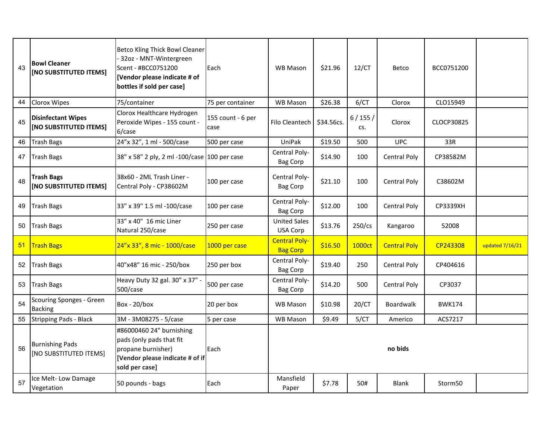| 43 | <b>Bowl Cleaner</b><br>[NO SUBSTITUTED ITEMS]       | Betco Kling Thick Bowl Cleaner<br>32oz - MNT-Wintergreen<br>Scent - #BCC0751200<br>[Vendor please indicate # of<br>bottles if sold per case] | Each                      | <b>WB Mason</b>                         | \$21.96    | 12/CT         | Betco               | BCC0751200          |                 |
|----|-----------------------------------------------------|----------------------------------------------------------------------------------------------------------------------------------------------|---------------------------|-----------------------------------------|------------|---------------|---------------------|---------------------|-----------------|
| 44 | <b>Clorox Wipes</b>                                 | 75/container                                                                                                                                 | 75 per container          | WB Mason                                | \$26.38    | 6/CT          | Clorox              | CLO15949            |                 |
| 45 | <b>Disinfectant Wipes</b><br>[NO SUBSTITUTED ITEMS] | Clorox Healthcare Hydrogen<br>Peroxide Wipes - 155 count -<br>6/case                                                                         | 155 count - 6 per<br>case | Filo Cleantech                          | \$34.56cs. | 6/155/<br>CS. | Clorox              | CLOCP30825          |                 |
| 46 | <b>Trash Bags</b>                                   | 24"x 32", 1 ml - 500/case                                                                                                                    | 500 per case              | UniPak                                  | \$19.50    | 500           | <b>UPC</b>          | 33R                 |                 |
| 47 | <b>Trash Bags</b>                                   | 38" x 58" 2 ply, 2 ml -100/case 100 per case                                                                                                 |                           | Central Poly-<br>Bag Corp               | \$14.90    | 100           | <b>Central Poly</b> | CP38582M            |                 |
| 48 | <b>Trash Bags</b><br>[NO SUBSTITUTED ITEMS]         | 38x60 - 2ML Trash Liner -<br>Central Poly - CP38602M                                                                                         | 100 per case              | Central Poly-<br><b>Bag Corp</b>        | \$21.10    | 100           | <b>Central Poly</b> | C38602M             |                 |
| 49 | <b>Trash Bags</b>                                   | 33" x 39" 1.5 ml -100/case                                                                                                                   | 100 per case              | Central Poly-<br><b>Bag Corp</b>        | \$12.00    | 100           | Central Poly        | <b>CP3339XH</b>     |                 |
| 50 | <b>Trash Bags</b>                                   | 33" x 40" 16 mic Liner<br>Natural 250/case                                                                                                   | 250 per case              | <b>United Sales</b><br>USA Corp         | \$13.76    | $250$ /cs     | Kangaroo            | 52008               |                 |
| 51 | <b>Trash Bags</b>                                   | 24"x 33", 8 mic - 1000/case                                                                                                                  | 1000 per case             | <b>Central Poly-</b><br><b>Bag Corp</b> | \$16.50    | 1000ct        | <b>Central Poly</b> | CP243308            | updated 7/16/21 |
| 52 | <b>Trash Bags</b>                                   | 40"x48" 16 mic - 250/box                                                                                                                     | 250 per box               | Central Poly-<br><b>Bag Corp</b>        | \$19.40    | 250           | <b>Central Poly</b> | CP404616            |                 |
| 53 | <b>Trash Bags</b>                                   | Heavy Duty 32 gal. 30" x 37" -<br>500/case                                                                                                   | 500 per case              | Central Poly-<br>Bag Corp               | \$14.20    | 500           | Central Poly        | CP3037              |                 |
| 54 | <b>Scouring Sponges - Green</b><br><b>Backing</b>   | Box - $20/b$ ox                                                                                                                              | 20 per box                | <b>WB Mason</b>                         | \$10.98    | 20/CT         | <b>Boardwalk</b>    | <b>BWK174</b>       |                 |
| 55 | <b>Stripping Pads - Black</b>                       | 3M - 3M08275 - 5/case                                                                                                                        | 5 per case                | WB Mason                                | \$9.49     | 5/CT          | Americo             | ACS7217             |                 |
| 56 | <b>Burnishing Pads</b><br>[NO SUBSTITUTED ITEMS]    | #86000460 24" burnishing<br>pads (only pads that fit<br>propane burnisher)<br>[Vendor please indicate # of if<br>sold per case]              | Each                      |                                         |            |               | no bids             |                     |                 |
| 57 | Ice Melt-Low Damage<br>Vegetation                   | 50 pounds - bags                                                                                                                             | Each                      | Mansfield<br>Paper                      | \$7.78     | 50#           | <b>Blank</b>        | Storm <sub>50</sub> |                 |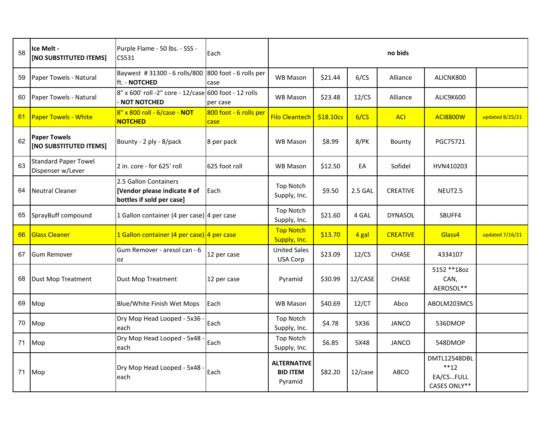| 58 | Ice Melt -<br>[NO SUBSTITUTED ITEMS]             | Purple Flame - 50 lbs. - SSS -<br>CS531                                            | Each                           |                                                  |           |         | no bids         |                                                     |                 |
|----|--------------------------------------------------|------------------------------------------------------------------------------------|--------------------------------|--------------------------------------------------|-----------|---------|-----------------|-----------------------------------------------------|-----------------|
| 59 | Paper Towels - Natural                           | Baywest #31300 - 6 rolls/800<br>ft. - NOTCHED                                      | 800 foot - 6 rolls per<br>case | <b>WB Mason</b>                                  | \$21.44   | 6/CS    | Alliance        | ALICNK800                                           |                 |
| 60 | Paper Towels - Natural                           | 8" x 600' roll -2" core - 12/case 600 foot - 12 rolls<br><b>NOT NOTCHED</b>        | per case                       | <b>WB Mason</b>                                  | \$23.48   | 12/CS   | Alliance        | ALIC9K600                                           |                 |
| 61 | <b>Paper Towels - White</b>                      | 8" x 800 roll - 6/case - NOT<br><b>NOTCHED</b>                                     | 800 foot - 6 rolls per<br>case | <b>Filo Cleantech</b>                            | \$18.10cs | 6/CS    | <b>ACI</b>      | <b>ACI8800W</b>                                     | updated 8/25/21 |
| 62 | <b>Paper Towels</b><br>[NO SUBSTITUTED ITEMS]    | Bounty - 2 ply - 8/pack                                                            | 8 per pack                     | <b>WB Mason</b>                                  | \$8.99    | $8$ /PK | Bounty          | PGC75721                                            |                 |
| 63 | <b>Standard Paper Towel</b><br>Dispenser w/Lever | 2 in. core - for 625' roll                                                         | 625 foot roll                  | <b>WB Mason</b>                                  | \$12.50   | EA      | Sofidel         | HVN410203                                           |                 |
| 64 | <b>Neutral Cleaner</b>                           | 2.5 Gallon Containers<br>[Vendor please indicate # of<br>bottles if sold per case] | Each                           | Top Notch<br>Supply, Inc.                        | \$9.50    | 2.5 GAL | <b>CREATIVE</b> | NEUT2.5                                             |                 |
| 65 | SprayBuff compound                               | 1 Gallon container (4 per case) 4 per case                                         |                                | Top Notch<br>Supply, Inc.                        | \$21.60   | 4 GAL   | <b>DYNASOL</b>  | SBUFF4                                              |                 |
| 66 | <b>Glass Cleaner</b>                             | 1 Gallon container (4 per case) 4 per case                                         |                                | <b>Top Notch</b><br>Supply, Inc.                 | \$13.70   | 4 gal   | <b>CREATIVE</b> | Glass4                                              | updated 7/16/21 |
| 67 | <b>Gum Remover</b>                               | Gum Remover - aresol can - 6<br><b>OZ</b>                                          | 12 per case                    | <b>United Sales</b><br>USA Corp                  | \$23.09   | 12/CS   | <b>CHASE</b>    | 4334107                                             |                 |
| 68 | Dust Mop Treatment                               | <b>Dust Mop Treatment</b>                                                          | 12 per case                    | Pyramid                                          | \$30.99   | 12/CASE | <b>CHASE</b>    | 5152 ** 180z<br>CAN,<br>AEROSOL**                   |                 |
| 69 | Mop                                              | Blue/White Finish Wet Mops                                                         | Each                           | <b>WB Mason</b>                                  | \$40.69   | 12/CT   | Abco            | ABOLM203MCS                                         |                 |
| 70 | Mop                                              | Dry Mop Head Looped - 5x36<br>each                                                 | Each                           | Top Notch<br>Supply, Inc.                        | \$4.78    | 5X36    | <b>JANCO</b>    | 536DMOP                                             |                 |
| 71 | Mop                                              | Dry Mop Head Looped - 5x48<br>each                                                 | Each                           | Top Notch<br>Supply, Inc.                        | \$6.85    | 5X48    | <b>JANCO</b>    | 548DMOP                                             |                 |
| 71 | Mop                                              | Dry Mop Head Looped - 5x48<br>each                                                 | Each                           | <b>ALTERNATIVE</b><br><b>BID ITEM</b><br>Pyramid | \$82.20   | 12/case | <b>ABCO</b>     | DMTL12548DBL<br>$**12$<br>EA/CSFULL<br>CASES ONLY** |                 |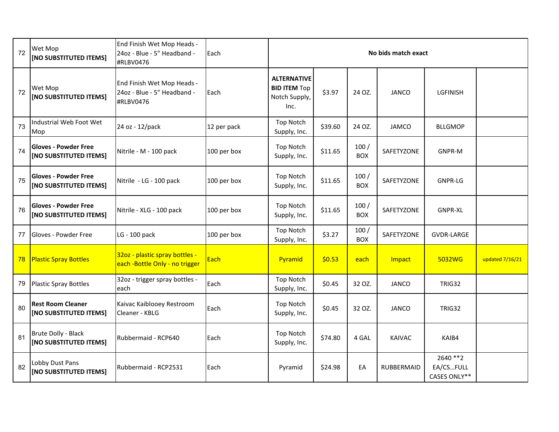| 72 | Wet Mop<br>[NO SUBSTITUTED ITEMS]                     | End Finish Wet Mop Heads -<br>24oz - Blue - 5" Headband -<br>#RLBV0476 | Each        | No bids match exact                                                |         |                    |               |                                        |                 |  |  |
|----|-------------------------------------------------------|------------------------------------------------------------------------|-------------|--------------------------------------------------------------------|---------|--------------------|---------------|----------------------------------------|-----------------|--|--|
| 72 | Wet Mop<br>[NO SUBSTITUTED ITEMS]                     | End Finish Wet Mop Heads -<br>24oz - Blue - 5" Headband -<br>#RLBV0476 | Each        | <b>ALTERNATIVE</b><br><b>BID ITEM Top</b><br>Notch Supply,<br>Inc. | \$3.97  | 24 OZ.             | <b>JANCO</b>  | <b>LGFINISH</b>                        |                 |  |  |
| 73 | Industrial Web Foot Wet<br>Mop                        | 24 oz - 12/pack                                                        | 12 per pack | <b>Top Notch</b><br>Supply, Inc.                                   | \$39.60 | 24 OZ.             | <b>JAMCO</b>  | <b>BLLGMOP</b>                         |                 |  |  |
| 74 | <b>Gloves - Powder Free</b><br>[NO SUBSTITUTED ITEMS] | Nitrile - M - 100 pack                                                 | 100 per box | <b>Top Notch</b><br>Supply, Inc.                                   | \$11.65 | 100/<br><b>BOX</b> | SAFETYZONE    | <b>GNPR-M</b>                          |                 |  |  |
| 75 | <b>Gloves - Powder Free</b><br>[NO SUBSTITUTED ITEMS] | Nitrile - LG - 100 pack                                                | 100 per box | <b>Top Notch</b><br>Supply, Inc.                                   | \$11.65 | 100/<br><b>BOX</b> | SAFETYZONE    | <b>GNPR-LG</b>                         |                 |  |  |
| 76 | <b>Gloves - Powder Free</b><br>[NO SUBSTITUTED ITEMS] | Nitrile - XLG - 100 pack                                               | 100 per box | <b>Top Notch</b><br>Supply, Inc.                                   | \$11.65 | 100/<br><b>BOX</b> | SAFETYZONE    | <b>GNPR-XL</b>                         |                 |  |  |
| 77 | Gloves - Powder Free                                  | LG - 100 pack                                                          | 100 per box | Top Notch<br>Supply, Inc.                                          | \$3.27  | 100/<br><b>BOX</b> | SAFETYZONE    | <b>GVDR-LARGE</b>                      |                 |  |  |
| 78 | <b>Plastic Spray Bottles</b>                          | 32oz - plastic spray bottles -<br>each -Bottle Only - no trigger       | Each        | Pyramid                                                            | \$0.53  | each               | Impact        | 5032WG                                 | updated 7/16/21 |  |  |
| 79 | <b>Plastic Spray Bottles</b>                          | 32oz - trigger spray bottles -<br>each                                 | Each        | <b>Top Notch</b><br>Supply, Inc.                                   | \$0.45  | 32 OZ.             | <b>JANCO</b>  | <b>TRIG32</b>                          |                 |  |  |
| 80 | <b>Rest Room Cleaner</b><br>[NO SUBSTITUTED ITEMS]    | Kaivac Kaiblooey Restroom<br>Cleaner - KBLG                            | Each        | <b>Top Notch</b><br>Supply, Inc.                                   | \$0.45  | 32 OZ.             | <b>JANCO</b>  | <b>TRIG32</b>                          |                 |  |  |
| 81 | Brute Dolly - Black<br>[NO SUBSTITUTED ITEMS]         | Rubbermaid - RCP640                                                    | Each        | <b>Top Notch</b><br>Supply, Inc.                                   | \$74.80 | 4 GAL              | <b>KAIVAC</b> | KAIB4                                  |                 |  |  |
| 82 | Lobby Dust Pans<br><b>[NO SUBSTITUTED ITEMS]</b>      | Rubbermaid - RCP2531                                                   | Each        | Pyramid                                                            | \$24.98 | EA                 | RUBBERMAID    | 2640 ** 2<br>EA/CSFULL<br>CASES ONLY** |                 |  |  |